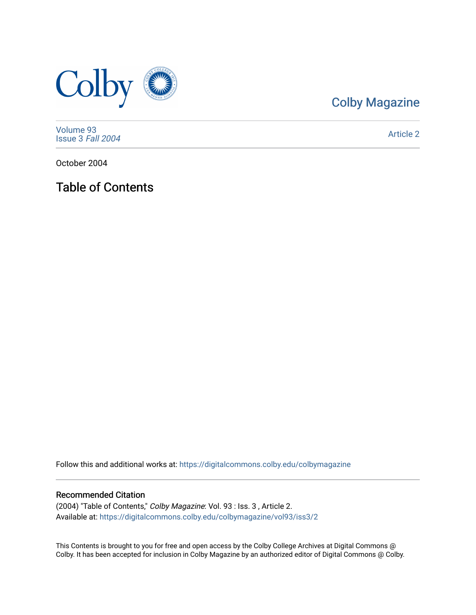

# [Colby Magazine](https://digitalcommons.colby.edu/colbymagazine)

[Volume 93](https://digitalcommons.colby.edu/colbymagazine/vol93) [Issue 3](https://digitalcommons.colby.edu/colbymagazine/vol93/iss3) Fall 2004

[Article 2](https://digitalcommons.colby.edu/colbymagazine/vol93/iss3/2) 

October 2004

Table of Contents

Follow this and additional works at: [https://digitalcommons.colby.edu/colbymagazine](https://digitalcommons.colby.edu/colbymagazine?utm_source=digitalcommons.colby.edu%2Fcolbymagazine%2Fvol93%2Fiss3%2F2&utm_medium=PDF&utm_campaign=PDFCoverPages)

## Recommended Citation

(2004) "Table of Contents," Colby Magazine: Vol. 93 : Iss. 3 , Article 2. Available at: [https://digitalcommons.colby.edu/colbymagazine/vol93/iss3/2](https://digitalcommons.colby.edu/colbymagazine/vol93/iss3/2?utm_source=digitalcommons.colby.edu%2Fcolbymagazine%2Fvol93%2Fiss3%2F2&utm_medium=PDF&utm_campaign=PDFCoverPages)

This Contents is brought to you for free and open access by the Colby College Archives at Digital Commons @ Colby. It has been accepted for inclusion in Colby Magazine by an authorized editor of Digital Commons @ Colby.